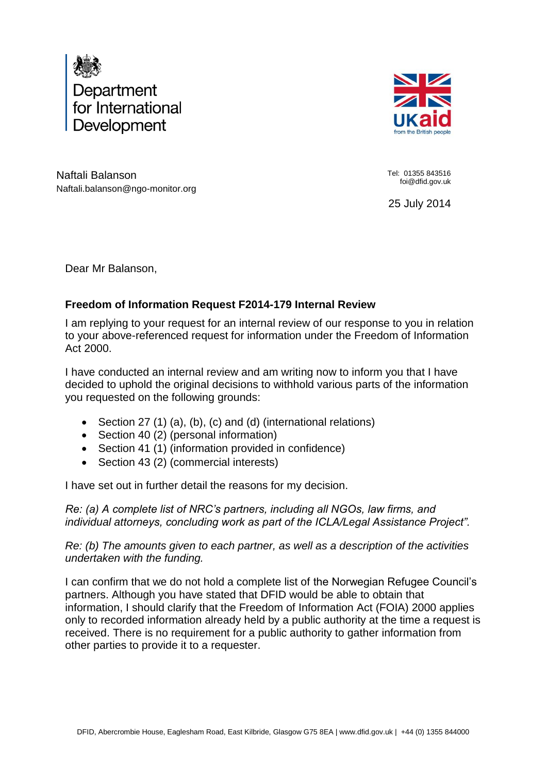



Naftali Balanson Naftali.balanson@ngo-monitor.org Tel: 01355 843516 foi@dfid.gov.uk

25 July 2014

Dear Mr Balanson,

# **Freedom of Information Request F2014-179 Internal Review**

I am replying to your request for an internal review of our response to you in relation to your above-referenced request for information under the Freedom of Information Act 2000.

I have conducted an internal review and am writing now to inform you that I have decided to uphold the original decisions to withhold various parts of the information you requested on the following grounds:

- Section 27 (1) (a), (b), (c) and (d) (international relations)
- Section 40 (2) (personal information)
- Section 41 (1) (information provided in confidence)
- Section 43 (2) (commercial interests)

I have set out in further detail the reasons for my decision.

*Re: (a) A complete list of NRC's partners, including all NGOs, law firms, and individual attorneys, concluding work as part of the ICLA/Legal Assistance Project".*

*Re: (b) The amounts given to each partner, as well as a description of the activities undertaken with the funding.*

I can confirm that we do not hold a complete list of the Norwegian Refugee Council's partners. Although you have stated that DFID would be able to obtain that information, I should clarify that the Freedom of Information Act (FOIA) 2000 applies only to recorded information already held by a public authority at the time a request is received. There is no requirement for a public authority to gather information from other parties to provide it to a requester.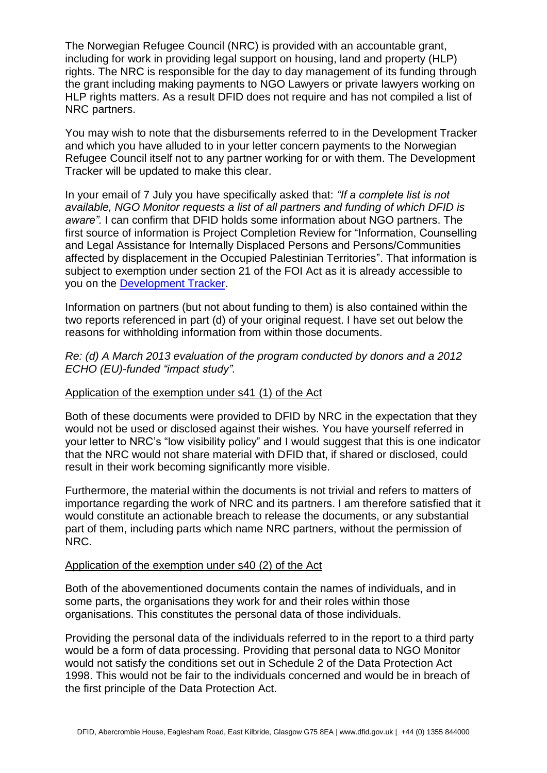The Norwegian Refugee Council (NRC) is provided with an accountable grant, including for work in providing legal support on housing, land and property (HLP) rights. The NRC is responsible for the day to day management of its funding through the grant including making payments to NGO Lawyers or private lawyers working on HLP rights matters. As a result DFID does not require and has not compiled a list of NRC partners.

You may wish to note that the disbursements referred to in the Development Tracker and which you have alluded to in your letter concern payments to the Norwegian Refugee Council itself not to any partner working for or with them. The Development Tracker will be updated to make this clear.

In your email of 7 July you have specifically asked that: *"If a complete list is not available, NGO Monitor requests a list of all partners and funding of which DFID is aware".* I can confirm that DFID holds some information about NGO partners. The first source of information is Project Completion Review for "Information, Counselling and Legal Assistance for Internally Displaced Persons and Persons/Communities affected by displacement in the Occupied Palestinian Territories". That information is subject to exemption under section 21 of the FOI Act as it is already accessible to you on the [Development Tracker.](http://devtracker.dfid.gov.uk/projects/GB-1-201304/)

Information on partners (but not about funding to them) is also contained within the two reports referenced in part (d) of your original request. I have set out below the reasons for withholding information from within those documents.

*Re: (d) A March 2013 evaluation of the program conducted by donors and a 2012 ECHO (EU)-funded "impact study".*

### Application of the exemption under s41 (1) of the Act

Both of these documents were provided to DFID by NRC in the expectation that they would not be used or disclosed against their wishes. You have yourself referred in your letter to NRC's "low visibility policy" and I would suggest that this is one indicator that the NRC would not share material with DFID that, if shared or disclosed, could result in their work becoming significantly more visible.

Furthermore, the material within the documents is not trivial and refers to matters of importance regarding the work of NRC and its partners. I am therefore satisfied that it would constitute an actionable breach to release the documents, or any substantial part of them, including parts which name NRC partners, without the permission of NRC.

#### Application of the exemption under s40 (2) of the Act

Both of the abovementioned documents contain the names of individuals, and in some parts, the organisations they work for and their roles within those organisations. This constitutes the personal data of those individuals.

Providing the personal data of the individuals referred to in the report to a third party would be a form of data processing. Providing that personal data to NGO Monitor would not satisfy the conditions set out in Schedule 2 of the Data Protection Act 1998. This would not be fair to the individuals concerned and would be in breach of the first principle of the Data Protection Act.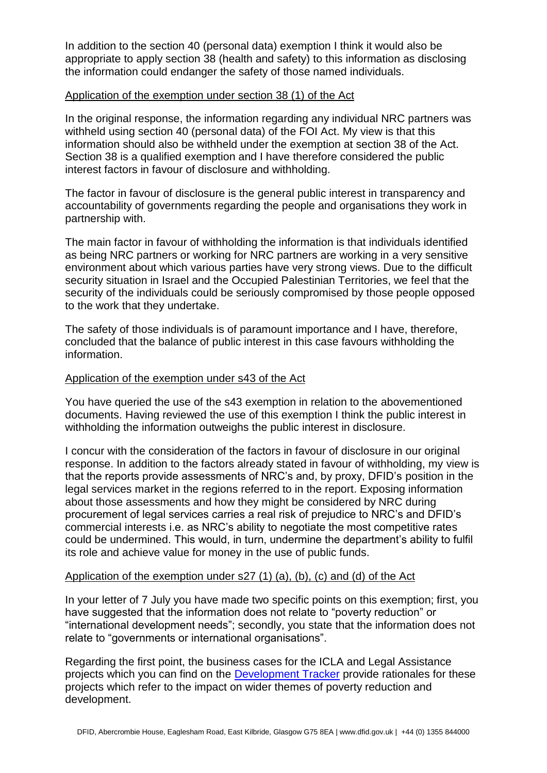In addition to the section 40 (personal data) exemption I think it would also be appropriate to apply section 38 (health and safety) to this information as disclosing the information could endanger the safety of those named individuals.

### Application of the exemption under section 38 (1) of the Act

In the original response, the information regarding any individual NRC partners was withheld using section 40 (personal data) of the FOI Act. My view is that this information should also be withheld under the exemption at section 38 of the Act. Section 38 is a qualified exemption and I have therefore considered the public interest factors in favour of disclosure and withholding.

The factor in favour of disclosure is the general public interest in transparency and accountability of governments regarding the people and organisations they work in partnership with.

The main factor in favour of withholding the information is that individuals identified as being NRC partners or working for NRC partners are working in a very sensitive environment about which various parties have very strong views. Due to the difficult security situation in Israel and the Occupied Palestinian Territories, we feel that the security of the individuals could be seriously compromised by those people opposed to the work that they undertake.

The safety of those individuals is of paramount importance and I have, therefore, concluded that the balance of public interest in this case favours withholding the information.

## Application of the exemption under s43 of the Act

You have queried the use of the s43 exemption in relation to the abovementioned documents. Having reviewed the use of this exemption I think the public interest in withholding the information outweighs the public interest in disclosure.

I concur with the consideration of the factors in favour of disclosure in our original response. In addition to the factors already stated in favour of withholding, my view is that the reports provide assessments of NRC's and, by proxy, DFID's position in the legal services market in the regions referred to in the report. Exposing information about those assessments and how they might be considered by NRC during procurement of legal services carries a real risk of prejudice to NRC's and DFID's commercial interests i.e. as NRC's ability to negotiate the most competitive rates could be undermined. This would, in turn, undermine the department's ability to fulfil its role and achieve value for money in the use of public funds.

### Application of the exemption under s27 (1) (a), (b), (c) and (d) of the Act

In your letter of 7 July you have made two specific points on this exemption; first, you have suggested that the information does not relate to "poverty reduction" or "international development needs"; secondly, you state that the information does not relate to "governments or international organisations".

Regarding the first point, the business cases for the ICLA and Legal Assistance projects which you can find on the [Development Tracker](http://devtracker.dfid.gov.uk/) provide rationales for these projects which refer to the impact on wider themes of poverty reduction and development.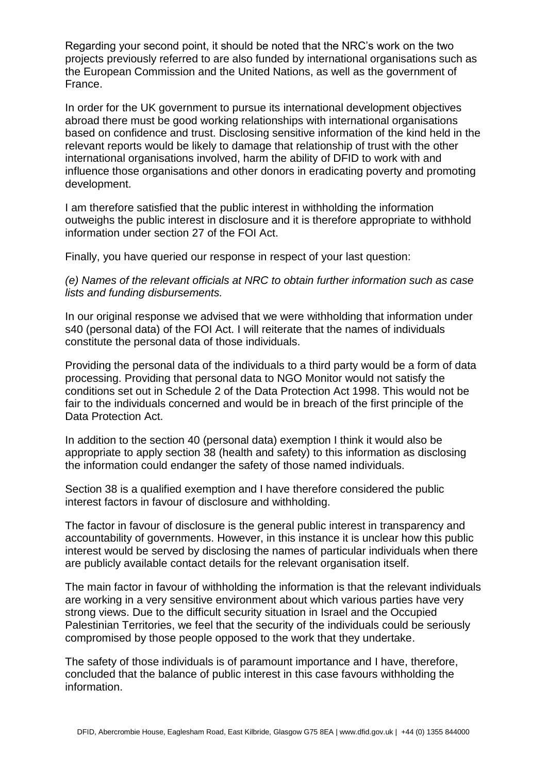Regarding your second point, it should be noted that the NRC's work on the two projects previously referred to are also funded by international organisations such as the European Commission and the United Nations, as well as the government of France.

In order for the UK government to pursue its international development objectives abroad there must be good working relationships with international organisations based on confidence and trust. Disclosing sensitive information of the kind held in the relevant reports would be likely to damage that relationship of trust with the other international organisations involved, harm the ability of DFID to work with and influence those organisations and other donors in eradicating poverty and promoting development.

I am therefore satisfied that the public interest in withholding the information outweighs the public interest in disclosure and it is therefore appropriate to withhold information under section 27 of the FOI Act.

Finally, you have queried our response in respect of your last question:

*(e) Names of the relevant officials at NRC to obtain further information such as case lists and funding disbursements.*

In our original response we advised that we were withholding that information under s40 (personal data) of the FOI Act. I will reiterate that the names of individuals constitute the personal data of those individuals.

Providing the personal data of the individuals to a third party would be a form of data processing. Providing that personal data to NGO Monitor would not satisfy the conditions set out in Schedule 2 of the Data Protection Act 1998. This would not be fair to the individuals concerned and would be in breach of the first principle of the Data Protection Act.

In addition to the section 40 (personal data) exemption I think it would also be appropriate to apply section 38 (health and safety) to this information as disclosing the information could endanger the safety of those named individuals.

Section 38 is a qualified exemption and I have therefore considered the public interest factors in favour of disclosure and withholding.

The factor in favour of disclosure is the general public interest in transparency and accountability of governments. However, in this instance it is unclear how this public interest would be served by disclosing the names of particular individuals when there are publicly available contact details for the relevant organisation itself.

The main factor in favour of withholding the information is that the relevant individuals are working in a very sensitive environment about which various parties have very strong views. Due to the difficult security situation in Israel and the Occupied Palestinian Territories, we feel that the security of the individuals could be seriously compromised by those people opposed to the work that they undertake.

The safety of those individuals is of paramount importance and I have, therefore, concluded that the balance of public interest in this case favours withholding the information.